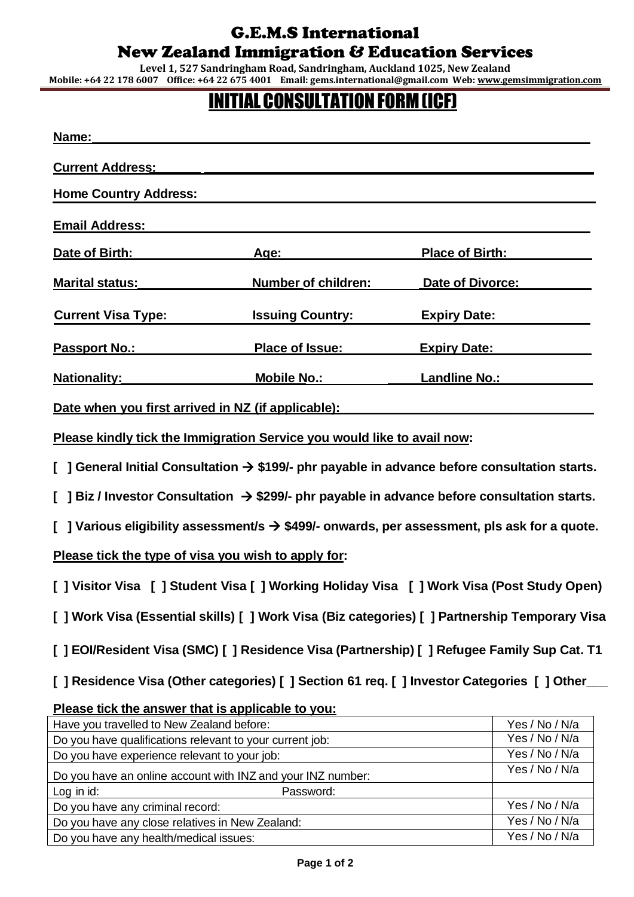## G.E.M.S International New Zealand Immigration & Education Services

**Level 1, 527 Sandringham Road, Sandringham, Auckland 1025, New Zealand Mobile: +64 22 178 6007 Office: +64 22 675 4001 Email: gems.international@gmail.com Web[: www.gemsimmigration.com](http://www.gemsimmigration.com/)**

## **INITIAL CONSULTATION FORM (ICF)**

| Name:                                                                                                                                                                                                                          |                            |                        |  |
|--------------------------------------------------------------------------------------------------------------------------------------------------------------------------------------------------------------------------------|----------------------------|------------------------|--|
|                                                                                                                                                                                                                                |                            |                        |  |
| <b>Home Country Address:</b>                                                                                                                                                                                                   |                            |                        |  |
| <b>Email Address:</b>                                                                                                                                                                                                          |                            |                        |  |
| Date of Birth:                                                                                                                                                                                                                 | <u>Age: ___</u>            | <b>Place of Birth:</b> |  |
| <b>Marital status:</b>                                                                                                                                                                                                         | <b>Number of children:</b> | Date of Divorce:       |  |
| <b>Current Visa Type:</b>                                                                                                                                                                                                      | <b>Issuing Country:</b>    | <b>Expiry Date:</b>    |  |
| <u>Passport No.: No.:</u>                                                                                                                                                                                                      | Place of Issue:            | <b>Expiry Date:</b>    |  |
| <b>Nationality:</b>                                                                                                                                                                                                            | <b>Mobile No.:</b>         | <b>Landline No.:</b>   |  |
| Date when you first arrived in NZ (if applicable): Date when you first and we have a set of the set of the set of the set of the set of the set of the set of the set of the set of the set of the set of the set of the set o |                            |                        |  |
| Please kindly tick the Immigration Service you would like to avail now:                                                                                                                                                        |                            |                        |  |
| General Initial Consultation $\rightarrow$ \$199/- phr payable in advance before consultation starts.                                                                                                                          |                            |                        |  |
| ] Biz / Investor Consultation $\rightarrow$ \$299/- phr payable in advance before consultation starts.                                                                                                                         |                            |                        |  |
| ] Various eligibility assessment/s $\rightarrow$ \$499/- onwards, per assessment, pls ask for a quote.                                                                                                                         |                            |                        |  |
| Please tick the type of visa you wish to apply for:                                                                                                                                                                            |                            |                        |  |
| [] Visitor Visa [] Student Visa [] Working Holiday Visa [] Work Visa (Post Study Open)                                                                                                                                         |                            |                        |  |
| [] Work Visa (Essential skills) [] Work Visa (Biz categories) [] Partnership Temporary Visa                                                                                                                                    |                            |                        |  |
| [] EOI/Resident Visa (SMC) [] Residence Visa (Partnership) [] Refugee Family Sup Cat. T1                                                                                                                                       |                            |                        |  |
| [ ] Residence Visa (Other categories) [ ] Section 61 req. [ ] Investor Categories [ ] Other                                                                                                                                    |                            |                        |  |
| Please tick the answer that is applicable to you:                                                                                                                                                                              |                            |                        |  |
| Have you travelled to New Zealand before:                                                                                                                                                                                      |                            | Yes / No / N/a         |  |
| Do you have qualifications relevant to your current job:                                                                                                                                                                       |                            | Yes / No / N/a         |  |
| Do you have experience relevant to your job:                                                                                                                                                                                   |                            | Yes / No / N/a         |  |
| Do you have an online account with INZ and your INZ number:                                                                                                                                                                    |                            | Yes / No / N/a         |  |
| Log in id:                                                                                                                                                                                                                     | Password:                  |                        |  |

Do you have any criminal record: Yes / No / N/a